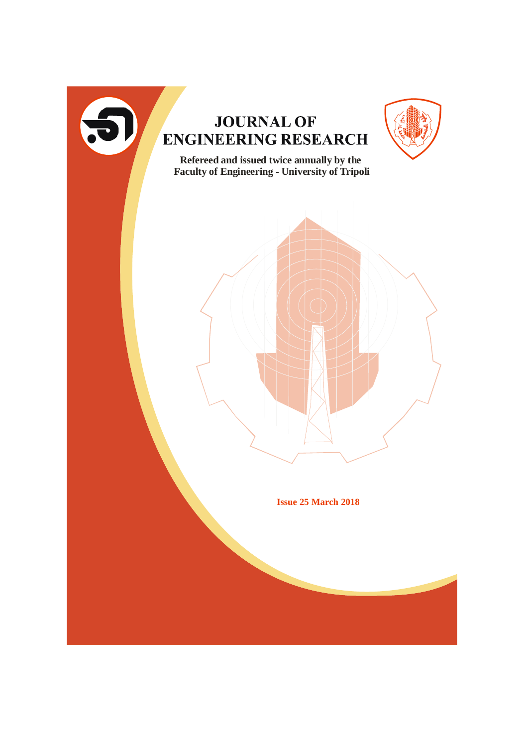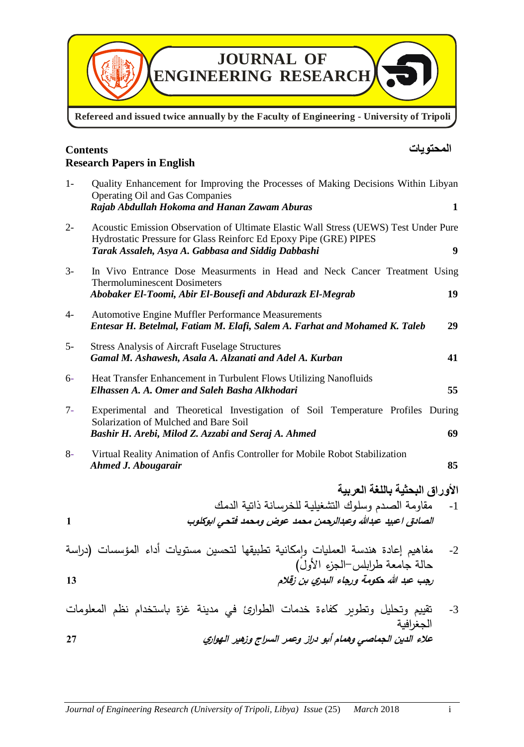

Refereed and issued twice annually by the Faculty of Engineering - University of Tripoli

## **المحتويات Contents Research Papers in English**

| $1-$         | Quality Enhancement for Improving the Processes of Making Decisions Within Libyan<br><b>Operating Oil and Gas Companies</b><br>Rajab Abdullah Hokoma and Hanan Zawam Aburas<br>1                                                    |  |  |
|--------------|-------------------------------------------------------------------------------------------------------------------------------------------------------------------------------------------------------------------------------------|--|--|
| $2 -$        | Acoustic Emission Observation of Ultimate Elastic Wall Stress (UEWS) Test Under Pure<br>Hydrostatic Pressure for Glass Reinforc Ed Epoxy Pipe (GRE) PIPES<br>$\boldsymbol{9}$<br>Tarak Assaleh, Asya A. Gabbasa and Siddig Dabbashi |  |  |
| $3-$         | In Vivo Entrance Dose Measurments in Head and Neck Cancer Treatment Using<br><b>Thermoluminescent Dosimeters</b><br>Abobaker El-Toomi, Abir El-Bousefi and Abdurazk El-Megrab<br>19                                                 |  |  |
| $4-$         | Automotive Engine Muffler Performance Measurements<br>Entesar H. Betelmal, Fatiam M. Elafi, Salem A. Farhat and Mohamed K. Taleb<br>29                                                                                              |  |  |
| $5-$         | <b>Stress Analysis of Aircraft Fuselage Structures</b><br>Gamal M. Ashawesh, Asala A. Alzanati and Adel A. Kurban<br>41                                                                                                             |  |  |
| $6-$         | Heat Transfer Enhancement in Turbulent Flows Utilizing Nanofluids<br>Elhassen A. A. Omer and Saleh Basha Alkhodari<br>55                                                                                                            |  |  |
| $7-$         | Experimental and Theoretical Investigation of Soil Temperature Profiles During<br>Solarization of Mulched and Bare Soil<br>Bashir H. Arebi, Milod Z. Azzabi and Seraj A. Ahmed<br>69                                                |  |  |
| $8-$         | Virtual Reality Animation of Anfis Controller for Mobile Robot Stabilization<br>85<br>Ahmed J. Abougarair                                                                                                                           |  |  |
|              | الأوراق البحثية باللغة العربية                                                                                                                                                                                                      |  |  |
| $\mathbf{1}$ | مقاومة الصدم وسلوك التشغيلية للخرسانة ذاتية الدمك<br>$-1$<br>الصادق اعبيد عبدالله وعبدالرحمن محمد عوض ومحمد فتحى ابوكلوب                                                                                                            |  |  |
|              | مفاهيم إعادة هندسة العمليات وامكانية تطبيقها لتحسين مستويات أداء المؤسسات (دراسة<br>$-2$<br>حالة جامعة طرابلس–الجزء الأولَ)                                                                                                         |  |  |
| 13           | رجب عبد الله حكومة ورجاء البدري بن زقلام                                                                                                                                                                                            |  |  |
|              | تقييم وتحليل وتطوير كفاءة خدمات الطوارئ في مدينة غزة باستخدام نظم المعلومات<br>$-3$                                                                                                                                                 |  |  |

**عالء الدين الجماصي وهمام أبو <sup>د</sup> ارز وعمر الس ارج وزهير الهواري 27**

الجغرافية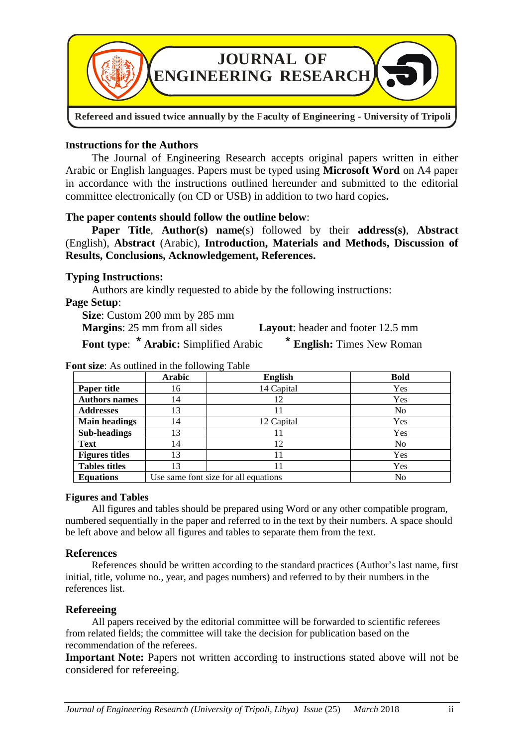

### **Instructions for the Authors**

The Journal of Engineering Research accepts original papers written in either Arabic or English languages. Papers must be typed using **Microsoft Word** on A4 paper in accordance with the instructions outlined hereunder and submitted to the editorial committee electronically (on CD or USB) in addition to two hard copies**.**

### **The paper contents should follow the outline below**:

**Paper Title**, **Author(s) name**(s) followed by their **address(s)**, **Abstract** (English), **Abstract** (Arabic), **Introduction, Materials and Methods, Discussion of Results, Conclusions, Acknowledgement, References.**

### **Typing Instructions:**

Authors are kindly requested to abide by the following instructions:

### **Page Setup**:

**Size**: Custom 200 mm by 285 mm **Margins**: 25 mm from all sides **Layout**: header and footer 12.5 mm **Font type:** \* **Arabic:** Simplified Arabic \* **English:** Times New Roman

|                       | Arabic | ▱<br><b>English</b>                  | <b>Bold</b>    |
|-----------------------|--------|--------------------------------------|----------------|
| Paper title           | 16     | 14 Capital                           | Yes            |
| <b>Authors names</b>  | 14     | 12                                   | Yes            |
| <b>Addresses</b>      | 13     | 11                                   | N <sub>0</sub> |
| <b>Main headings</b>  | 14     | 12 Capital                           | Yes            |
| <b>Sub-headings</b>   | 13     | 11                                   | Yes            |
| <b>Text</b>           | 14     | 12                                   | N <sub>0</sub> |
| <b>Figures titles</b> | 13     | 11                                   | Yes            |
| <b>Tables titles</b>  | 13     | 11                                   | Yes            |
| <b>Equations</b>      |        | Use same font size for all equations | N <sub>0</sub> |

#### **Font size**: As outlined in the following Table

#### **Figures and Tables**

All figures and tables should be prepared using Word or any other compatible program, numbered sequentially in the paper and referred to in the text by their numbers. A space should be left above and below all figures and tables to separate them from the text.

#### **References**

References should be written according to the standard practices (Author's last name, first initial, title, volume no., year, and pages numbers) and referred to by their numbers in the references list.

#### **Refereeing**

All papers received by the editorial committee will be forwarded to scientific referees from related fields; the committee will take the decision for publication based on the recommendation of the referees.

**Important Note:** Papers not written according to instructions stated above will not be considered for refereeing.